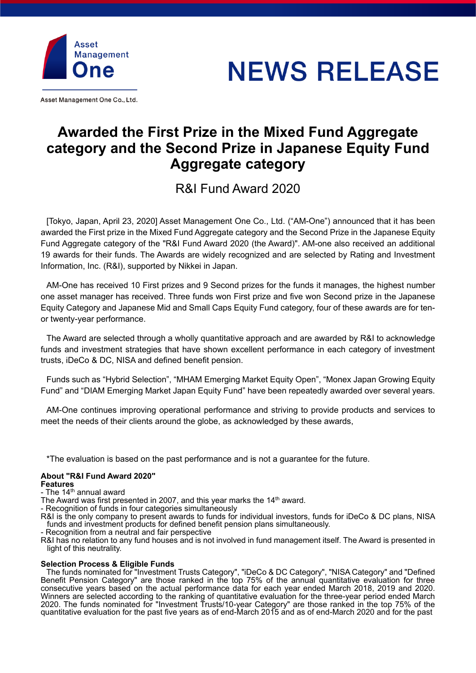

Asset Management One Co., Ltd.

# **NEWS RELEASE**

## **Awarded the First Prize in the Mixed Fund Aggregate category and the Second Prize in Japanese Equity Fund Aggregate category**

R&I Fund Award 2020

[Tokyo, Japan, April 23, 2020] Asset Management One Co., Ltd. ("AM-One") announced that it has been awarded the First prize in the Mixed Fund Aggregate category and the Second Prize in the Japanese Equity Fund Aggregate category of the "R&I Fund Award 2020 (the Award)". AM-one also received an additional 19 awards for their funds. The Awards are widely recognized and are selected by Rating and Investment Information, Inc. (R&I), supported by Nikkei in Japan.

AM-One has received 10 First prizes and 9 Second prizes for the funds it manages, the highest number one asset manager has received. Three funds won First prize and five won Second prize in the Japanese Equity Category and Japanese Mid and Small Caps Equity Fund category, four of these awards are for tenor twenty-year performance.

The Award are selected through a wholly quantitative approach and are awarded by R&I to acknowledge funds and investment strategies that have shown excellent performance in each category of investment trusts, iDeCo & DC, NISA and defined benefit pension.

Funds such as "Hybrid Selection", "MHAM Emerging Market Equity Open", "Monex Japan Growing Equity Fund" and "DIAM Emerging Market Japan Equity Fund" have been repeatedly awarded over several years.

AM-One continues improving operational performance and striving to provide products and services to meet the needs of their clients around the globe, as acknowledged by these awards,

\*The evaluation is based on the past performance and is not a guarantee for the future.

#### **About "R&I Fund Award 2020" Features**

- The 14<sup>th</sup> annual award

The Award was first presented in 2007, and this year marks the 14<sup>th</sup> award.

- Recognition of funds in four categories simultaneously

R&I is the only company to present awards to funds for individual investors, funds for iDeCo & DC plans, NISA funds and investment products for defined benefit pension plans simultaneously.

- Recognition from a neutral and fair perspective

R&I has no relation to any fund houses and is not involved in fund management itself. The Award is presented in light of this neutrality.

### **Selection Process & Eligible Funds**

The funds nominated for "Investment Trusts Category", "iDeCo & DC Category", "NISA Category" and "Defined Benefit Pension Category" are those ranked in the top 75% of the annual quantitative evaluation for three consecutive years based on the actual performance data for each year ended March 2018, 2019 and 2020. Winners are selected according to the ranking of quantitative evaluation for the three-year period ended March 2020. The funds nominated for "Investment Trusts/10-year Category" are those ranked in the top 75% of the quantitative evaluation for the past five years as of end-March 2015 and as of end-March 2020 and for the past